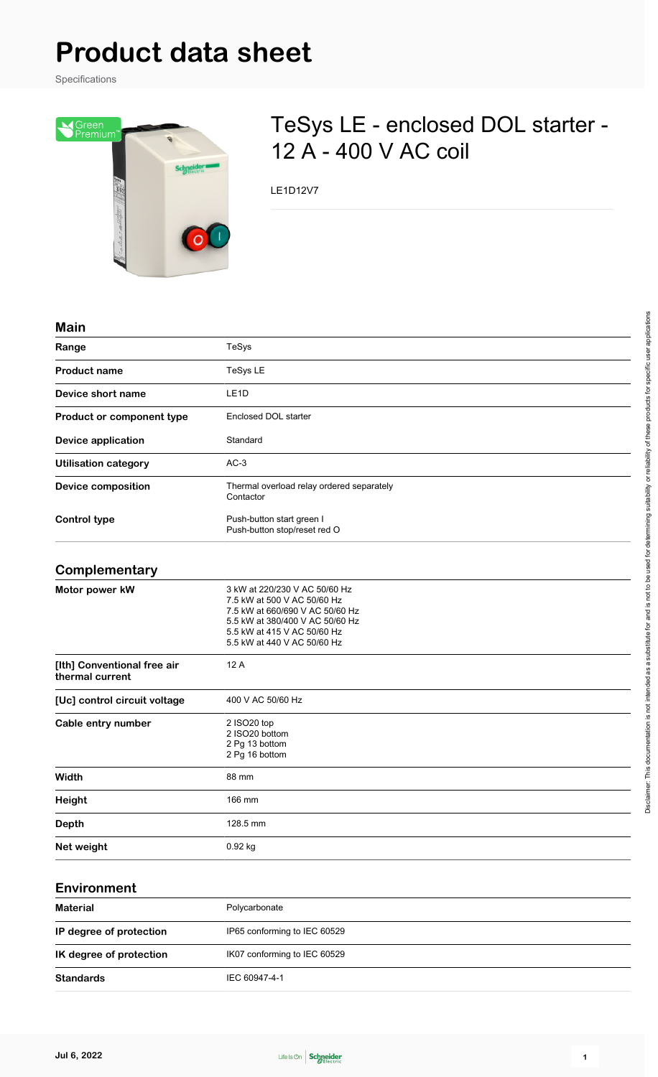# **Product data sheet**

Specifications



# TeSys LE - enclosed DOL starter - 12 A - 400 V AC coil

LE1D12V7

#### **Main**

| Range                                          | TeSys                                                                                                                                                                                            |
|------------------------------------------------|--------------------------------------------------------------------------------------------------------------------------------------------------------------------------------------------------|
| <b>Product name</b>                            | TeSys LE                                                                                                                                                                                         |
| Device short name                              | LE <sub>1</sub> D                                                                                                                                                                                |
| Product or component type                      | Enclosed DOL starter                                                                                                                                                                             |
| <b>Device application</b>                      | Standard                                                                                                                                                                                         |
| <b>Utilisation category</b>                    | $AC-3$                                                                                                                                                                                           |
| <b>Device composition</b>                      | Thermal overload relay ordered separately<br>Contactor                                                                                                                                           |
| <b>Control type</b>                            | Push-button start green I<br>Push-button stop/reset red O                                                                                                                                        |
| Complementary                                  |                                                                                                                                                                                                  |
| Motor power kW                                 | 3 kW at 220/230 V AC 50/60 Hz<br>7.5 kW at 500 V AC 50/60 Hz<br>7.5 kW at 660/690 V AC 50/60 Hz<br>5.5 kW at 380/400 V AC 50/60 Hz<br>5.5 kW at 415 V AC 50/60 Hz<br>5.5 kW at 440 V AC 50/60 Hz |
| [Ith] Conventional free air<br>thermal current | 12 A                                                                                                                                                                                             |
| [Uc] control circuit voltage                   | 400 V AC 50/60 Hz                                                                                                                                                                                |
| Cable entry number                             | 2 ISO20 top<br>2 ISO20 bottom<br>2 Pg 13 bottom<br>2 Pg 16 bottom                                                                                                                                |
| Width                                          | 88 mm                                                                                                                                                                                            |
| Height                                         | 166 mm                                                                                                                                                                                           |
| <b>Depth</b>                                   | 128.5 mm                                                                                                                                                                                         |
| Net weight                                     | 0.92 kg                                                                                                                                                                                          |

#### **Environment**

| <b>Material</b>         | Polycarbonate                |
|-------------------------|------------------------------|
| IP degree of protection | IP65 conforming to IEC 60529 |
| IK degree of protection | IK07 conforming to IEC 60529 |
| <b>Standards</b>        | IEC 60947-4-1                |